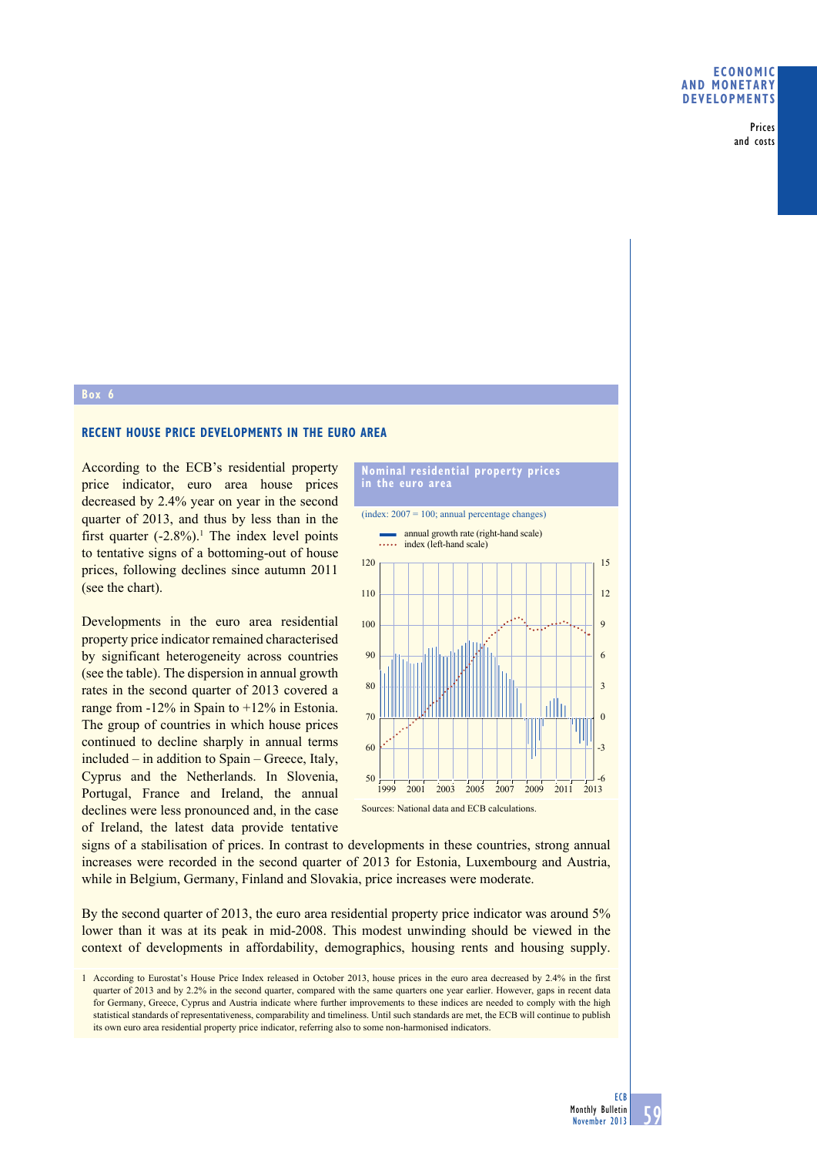Prices and costs

## **box 6**

## **reCent house PriCe develoPments in the euro area**

According to the ECB's residential property price indicator, euro area house prices decreased by 2.4% year on year in the second quarter of 2013, and thus by less than in the first quarter  $(-2.8\%)$ .<sup>1</sup> The index level points to tentative signs of a bottoming-out of house prices, following declines since autumn 2011 (see the chart).

Developments in the euro area residential property price indicator remained characterised by significant heterogeneity across countries (see the table). The dispersion in annual growth rates in the second quarter of 2013 covered a range from  $-12\%$  in Spain to  $+12\%$  in Estonia. The group of countries in which house prices continued to decline sharply in annual terms  $included - in addition to Spain - Greece, Italy,$ Cyprus and the Netherlands. In Slovenia, Portugal, France and Ireland, the annual declines were less pronounced and, in the case of Ireland, the latest data provide tentative

## **nominal residential property prices in the euro area**



signs of a stabilisation of prices. In contrast to developments in these countries, strong annual increases were recorded in the second quarter of 2013 for Estonia, Luxembourg and Austria, while in Belgium, Germany, Finland and Slovakia, price increases were moderate.

By the second quarter of 2013, the euro area residential property price indicator was around  $5%$ lower than it was at its peak in mid-2008. This modest unwinding should be viewed in the context of developments in affordability, demographics, housing rents and housing supply.

1 According to Eurostat's House Price Index released in October 2013, house prices in the euro area decreased by 2.4% in the first quarter of 2013 and by 2.2% in the second quarter, compared with the same quarters one year earlier. However, gaps in recent data for Germany, Greece, Cyprus and Austria indicate where further improvements to these indices are needed to comply with the high statistical standards of representativeness, comparability and timeliness. Until such standards are met, the ECB will continue to publish its own euro area residential property price indicator, referring also to some non-harmonised indicators.